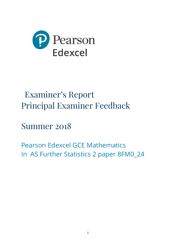

# Examiner's Report Principal Examiner Feedback

Summer 2018

Pearson Edexcel GCE Mathematics In AS Further Statistics 2 paper 8FM0\_24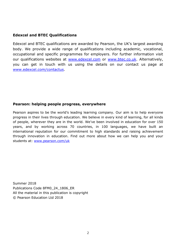# **Edexcel and BTEC Qualifications**

Edexcel and BTEC qualifications are awarded by Pearson, the UK's largest awarding body. We provide a wide range of qualifications including academic, vocational, occupational and specific programmes for employers. For further information visit our qualifications websites at [www.edexcel.com](http://www.edexcel.com/) or [www.btec.co.uk.](http://www.btec.co.uk/) Alternatively, you can get in touch with us using the details on our contact us page at [www.edexcel.com/contactus.](http://www.edexcel.com/contactus)

# **Pearson: helping people progress, everywhere**

Pearson aspires to be the world's leading learning company. Our aim is to help everyone progress in their lives through education. We believe in every kind of learning, for all kinds of people, wherever they are in the world. We've been involved in education for over 150 years, and by working across 70 countries, in 100 languages, we have built an international reputation for our commitment to high standards and raising achievement through innovation in education. Find out more about how we can help you and your students at: [www.pearson.com/uk](http://www.pearson.com/uk)

Summer 2018 Publications Code 8FM0\_24\_1806\_ER All the material in this publication is copyright © Pearson Education Ltd 2018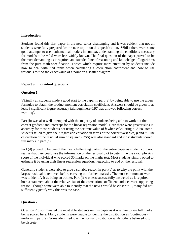### **Introduction**

Students found this first paper in the new series challenging and it was evident that not all students were fully prepared for the new topics on this specification. Whilst there were some good attempts to use mathematical models in context, understanding the conditions necessary for models to be valid were less widely known. The final question of the paper proved to be the most demanding as it required an extended line of reasoning and knowledge of logarithms from the pure math specification. Topics which require more attention by students include how to deal with tied ranks when calculating a correlation coefficient and how to use residuals to find the exact value of a point on a scatter diagram.

# **Report on individual questions**

## **Question 1**

Virtually all students made a good start to the paper in part (a) by being able to use the given formulae to obtain the product moment correlation coefficient. Answers should be given to at least 3 significant figure accuracy (although here 0.97 was allowed following correct working).

Part (b) was also well attempted with the majority of students being able to work out the correct gradient and intercept for the linear regression model. Here there were greater slips in accuracy for those students not using the accurate value of *b* when calculating *a*. Also, some students failed to give their regression equation in terms of the correct variables, *p* and *m*. The calculation of the residual sum of squared (RSS) was also standard and most students scored full marks in part (c).

Part (d) proved to be one of the most challenging parts of the entire paper as students did not realise that they could use the information on the residual plot to determine the exact physics score of the individual who scored 30 marks on the maths test. Most students simply opted to estimate it by using their linear regression equation, neglecting to add on the residual.

Generally students were able to give a suitable reason in part (e) as to why the point with the largest residual is removed before carrying out further analysis. The most common answer was to identify it as being an outlier. Part (f) was less successfully answered as it required both a statement about the relative size of the correlation coefficient and a correct supporting reason. Though some were able to identify that the new *r* would be closer to 1, many did not sufficiently justify why this was the case.

# **Question 2**

Question 2 discriminated the most able students on this paper as it was rare to see full marks being scored here. Many students were unable to identify the distribution as (continuous) uniform in part (a). Some identified it as the normal distribution whilst others believed it to be discrete.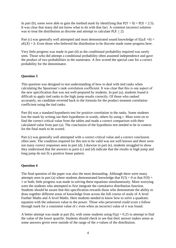In part (b), some were able to gain the method mark by identifying that  $P(Y < 0) = P(X < 2.5)$ . It was clear that many did not know what to do with that fact. A common incorrect solution was to treat the distribution as discrete and attempt to calculate  $P(X < 2)$ .

Part (c) was generally well attempted and most demonstrated sound knowledge of  $E(aX + b) =$  $aE(X) + b$ . Even those who believed the distribution to be discrete made some progress here.

Very little progress was made in part (d) as the conditional probability required was rarely seen. Those who did attempt a conditional probability often assumed independence and gave the product of two probabilities in the numerator. A few scored the special case for a correct probability for the denominator.

#### **Question 3**

This question was designed to test understanding of how to deal with tied ranks when calculating the Spearman's rank correlation coefficient. It was clear that this is one aspect of the new specification that was not well-prepared by students. In part (a), students found it difficult to apply tied ranks to the high jump results correctly. Of those who ranked accurately, no candidate reverted back to the formula for the product moment correlation coefficient using the tied ranks.

Part (b) was a standard hypothesis test for positive correlation in the ranks. Some students lost the mark by writing out their hypotheses in words, others by using *r*. Most went on to find the correct critical value from the tables and made a correct comparison with their calculated value from part (a). The conclusion of the hypothesis test needed to be in context for the final mark to be scored.

Part (c) was generally well attempted with a correct critical value and a correct conclusion often seen. The condition required for this test to be valid was not well known and there were not many correct responses seen in part (d). Likewise in part (e), students struggled to show they understood that the answers to parts (c) and (d) indicate that the results in high jump and long jump do not fit a positive linear pattern.

#### **Question 4**

The final question of the paper was also the most demanding. Although there were many attempts seen in part (a) where students demonstrated knowledge that  $F(3) = 0$  or that  $F(9) =$ 1 or both, little progress was made in solving these equations simultaneously. More worrying were the students who attempted to first integrate the cumulative distribution function. Students should be aware that this specification rewards those who demonstrate the ability to draw together different areas of knowledge from across the full course of study of A level Further Maths and A level Maths. Here students needed to know how to solve a quadratic equation with the unknown value in the power. Those who persevered could score a follow through mark for a consistent value of *c* even when an incorrect value of *n* was found.

A better attempt was made at part (b), with some students using  $F(q) = 0.25$  to attempt to find the value of the lower quartile. Students should check to see that their answer makes sense as some answers given were outside of the range of the *x*-values of the distribution.